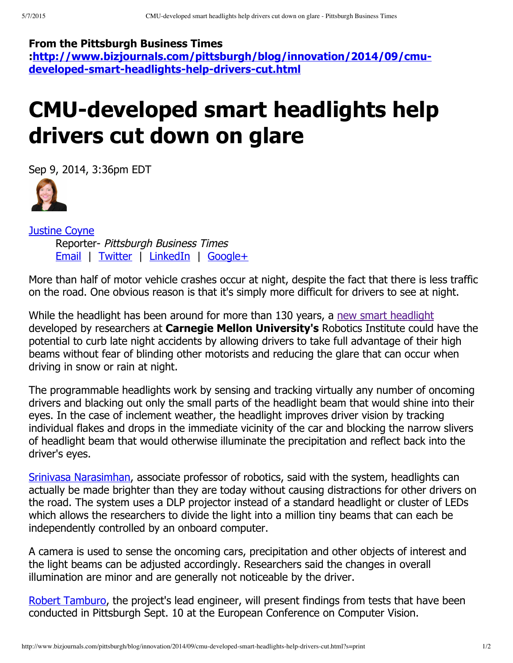## **From the Pittsburgh Business Times**

**[:http://www.bizjournals.com/pittsburgh/blog/innovation/2014/09/cmu](http://www.bizjournals.com/pittsburgh/blog/innovation/2014/09/cmu-developed-smart-headlights-help-drivers-cut.html)**developed-smart-headlights-help-drivers-cut.html

## **CMU-developed smart headlights help drivers cut down on glare**

[Sep](http://www.bizjournals.com/pittsburgh/bio/14291/Justine+Coyne) 9, 2014, 3:36pm EDT



[Justine](http://www.bizjournals.com/pittsburgh/bio/14291/Justine+Coyne) Coyne Reporter- Pittsburgh Business Times [Email](mailto:jrcoyne@bizjournals.com) | [Twitter](https://twitter.com/PBT_Justine) | [LinkedIn](http://www.linkedin.com/profile/view?id=163011683&locale=en_US&trk=tyah) | [Google+](http://plus.google.com/109860645746808051610?rel=author)

More than half of motor vehicle crashes occur at night, despite the fact that there is less traffic on the road. One obvious reason is that it's simply more difficult for drivers to see at night.

While the headlight has been around for more than 130 years, a new smart [headlight](http://www.cs.cmu.edu/smartheadlight/) developed by researchers at **Carnegie Mellon University's** Robotics Institute could have the potential to curb late night accidents by allowing drivers to take full advantage of their high beams without fear of blinding other motorists and reducing the glare that can occur when driving in snow or rain at night.

The programmable headlights work by sensing and tracking virtually any number of oncoming drivers and blacking out only the small parts of the headlight beam that would shine into their eyes. In the case of inclement weather, the headlight improves driver vision by tracking individual flakes and drops in the immediate vicinity of the car and blocking the narrow slivers of headlight beam that would otherwise illuminate the precipitation and reflect back into the driver's eyes.

Srinivasa [Narasimhan,](http://www.bizjournals.com/pittsburgh/search/results?q=Srinivasa%20Narasimhan) associate professor of robotics, said with the system, headlights can actually be made brighter than they are today without causing distractions for other drivers on the road. The system uses a DLP projector instead of a standard headlight or cluster of LEDs which allows the researchers to divide the light into a million tiny beams that can each be independently controlled by an onboard computer.

A camera is used to sense the oncoming cars, precipitation and other objects of interest and the light beams can be adjusted accordingly. Researchers said the changes in overall illumination are minor and are generally not noticeable by the driver.

Robert [Tamburo,](http://www.bizjournals.com/pittsburgh/search/results?q=Robert%20Tamburo) the project's lead engineer, will present findings from tests that have been conducted in Pittsburgh Sept. 10 at the European Conference on Computer Vision.